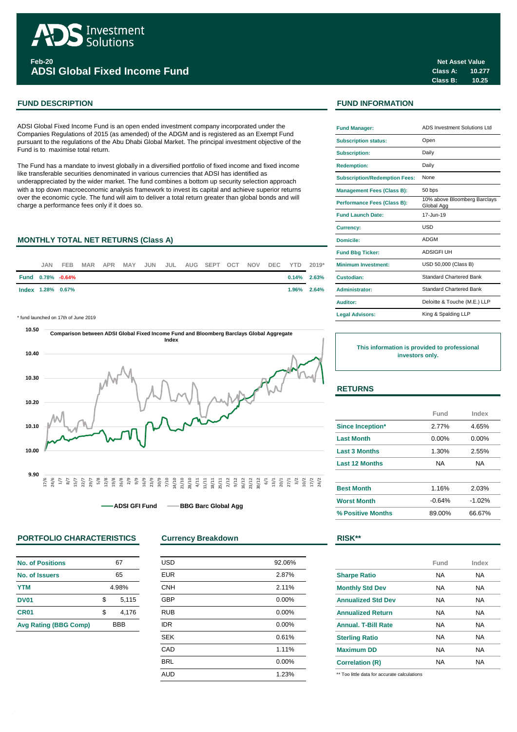

**ADSI Global Fixed Income Fund**

ADSI Global Fixed Income Fund is an open ended investment company incorporated under the Companies Regulations of 2015 (as amended) of the ADGM and is registered as an Exempt Fund pursuant to the regulations of the Abu Dhabi Global Market. The principal investment objective of the Fund is to maximise total return.

The Fund has a mandate to invest globally in a diversified portfolio of fixed income and fixed income like transferable securities denominated in various currencies that ADSI has identified as underappreciated by the wider market. The fund combines a bottom up security selection approach with a top down macroeconomic analysis framework to invest its capital and achieve superior returns over the economic cycle. The fund will aim to deliver a total return greater than global bonds and will charge a performance fees only if it does so.

# **MONTHLY TOTAL NET RETURNS (Class A)**



\* fund launched on 17th of June 2019 **Legal Advisors:**



**ADSI GFI Fund • BBG Barc Global Agg** 

# **PORTFOLIO CHARACTERISTICS Currency Breakdown RISK\*\***

| <b>No. of Positions</b>      |       | 67         |
|------------------------------|-------|------------|
| No. of Issuers               |       | 65         |
| <b>YTM</b>                   | 4.98% |            |
| <b>DV01</b>                  | \$    | 5,115      |
| CR <sub>01</sub>             | \$    | 4,176      |
| <b>Avg Rating (BBG Comp)</b> |       | <b>BBB</b> |

| <b>USD</b> | 92.06% |
|------------|--------|
| <b>EUR</b> | 2.87%  |
| <b>CNH</b> | 2.11%  |
| <b>GBP</b> | 0.00%  |
| <b>RUB</b> | 0.00%  |
| <b>IDR</b> | 0.00%  |
| <b>SEK</b> | 0.61%  |
| CAD        | 1.11%  |
| <b>BRL</b> | 0.00%  |
| <b>AUD</b> | 1.23%  |
|            |        |

# **FUND DESCRIPTION FUND INFORMATION**

| <b>Fund Manager:</b>                 | ADS Investment Solutions Ltd               |
|--------------------------------------|--------------------------------------------|
| <b>Subscription status:</b>          | Open                                       |
| <b>Subscription:</b>                 | Daily                                      |
| <b>Redemption:</b>                   | Daily                                      |
| <b>Subscription/Redemption Fees:</b> | None                                       |
| <b>Management Fees (Class B):</b>    | 50 bps                                     |
| Performance Fees (Class B):          | 10% above Bloomberg Barclays<br>Global Agg |
| <b>Fund Launch Date:</b>             | 17-Jun-19                                  |
| <b>Currency:</b>                     | USD                                        |
| Domicile:                            | <b>ADGM</b>                                |
| <b>Fund Bbg Ticker:</b>              | <b>ADSIGFI UH</b>                          |
| <b>Minimum Investment:</b>           | USD 50,000 (Class B)                       |
| Custodian:                           | Standard Chartered Bank                    |
| <b>Administrator:</b>                | <b>Standard Chartered Bank</b>             |
| Auditor:                             | Deloitte & Touche (M.E.) LLP               |
| <b>Legal Advisors:</b>               | King & Spalding LLP                        |

**This information is provided to professional investors only.**

# **RETURNS**

|                       | Fund     | Index    |
|-----------------------|----------|----------|
| Since Inception*      | 2.77%    | 4.65%    |
| <b>Last Month</b>     | $0.00\%$ | 0.00%    |
| <b>Last 3 Months</b>  | 1.30%    | 2.55%    |
| <b>Last 12 Months</b> | NA.      | NA       |
|                       |          |          |
| <b>Best Month</b>     | 1.16%    | 2.03%    |
| <b>Worst Month</b>    | $-0.64%$ | $-1.02%$ |
| % Positive Months     | 89.00%   | 66.67%   |

|                            | Fund | Index |
|----------------------------|------|-------|
| <b>Sharpe Ratio</b>        | NA   | NA    |
| <b>Monthly Std Dev</b>     | NA   | NA    |
| <b>Annualized Std Dev</b>  | NA   | NA    |
| <b>Annualized Return</b>   | NA   | NA    |
| <b>Annual, T-Bill Rate</b> | NA   | NA    |
| <b>Sterling Ratio</b>      | NА   | NA    |
| <b>Maximum DD</b>          | NА   | NA    |
| <b>Correlation (R)</b>     | NА   | NА    |

\*\* Too little data for accurate calculations